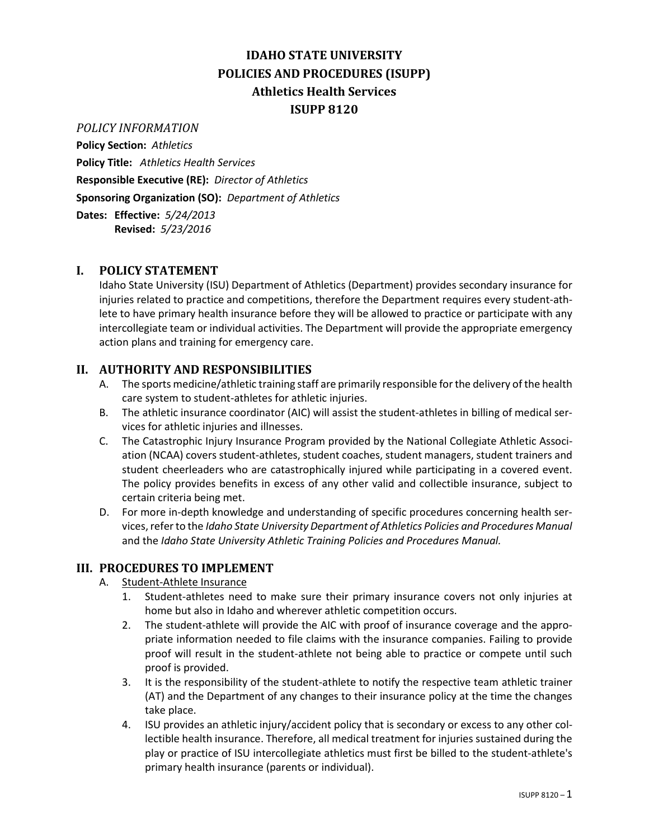# **IDAHO STATE UNIVERSITY POLICIES AND PROCEDURES (ISUPP) Athletics Health Services ISUPP 8120**

#### *POLICY INFORMATION*

**Policy Section:** *Athletics*

**Policy Title:** *Athletics Health Services* **Responsible Executive (RE):** *Director of Athletics*

**Sponsoring Organization (SO):** *Department of Athletics*

**Dates: Effective:** *5/24/2013* **Revised:** *5/23/2016*

### **I. POLICY STATEMENT**

Idaho State University (ISU) Department of Athletics (Department) provides secondary insurance for injuries related to practice and competitions, therefore the Department requires every student-athlete to have primary health insurance before they will be allowed to practice or participate with any intercollegiate team or individual activities. The Department will provide the appropriate emergency action plans and training for emergency care.

### **II. AUTHORITY AND RESPONSIBILITIES**

- A. The sports medicine/athletic training staff are primarily responsible for the delivery of the health care system to student-athletes for athletic injuries.
- B. The athletic insurance coordinator (AIC) will assist the student-athletes in billing of medical services for athletic injuries and illnesses.
- C. The Catastrophic Injury Insurance Program provided by the National Collegiate Athletic Association (NCAA) covers student-athletes, student coaches, student managers, student trainers and student cheerleaders who are catastrophically injured while participating in a covered event. The policy provides benefits in excess of any other valid and collectible insurance, subject to certain criteria being met.
- D. For more in-depth knowledge and understanding of specific procedures concerning health services, refer to the *Idaho State University Department of Athletics Policies and Procedures Manual* and the *Idaho State University Athletic Training Policies and Procedures Manual.*

## **III. PROCEDURES TO IMPLEMENT**

- A. Student-Athlete Insurance
	- 1. Student-athletes need to make sure their primary insurance covers not only injuries at home but also in Idaho and wherever athletic competition occurs.
	- 2. The student-athlete will provide the AIC with proof of insurance coverage and the appropriate information needed to file claims with the insurance companies. Failing to provide proof will result in the student-athlete not being able to practice or compete until such proof is provided.
	- 3. It is the responsibility of the student-athlete to notify the respective team athletic trainer (AT) and the Department of any changes to their insurance policy at the time the changes take place.
	- 4. ISU provides an athletic injury/accident policy that is secondary or excess to any other collectible health insurance. Therefore, all medical treatment for injuries sustained during the play or practice of ISU intercollegiate athletics must first be billed to the student-athlete's primary health insurance (parents or individual).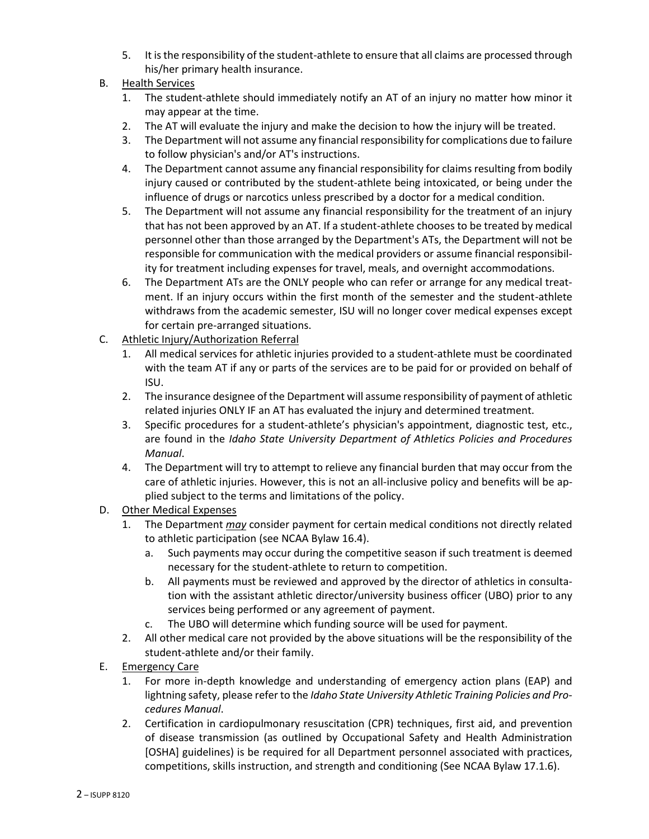- 5. It is the responsibility of the student-athlete to ensure that all claims are processed through his/her primary health insurance.
- B. Health Services
	- 1. The student-athlete should immediately notify an AT of an injury no matter how minor it may appear at the time.
	- 2. The AT will evaluate the injury and make the decision to how the injury will be treated.
	- 3. The Department will not assume any financial responsibility for complications due to failure to follow physician's and/or AT's instructions.
	- 4. The Department cannot assume any financial responsibility for claims resulting from bodily injury caused or contributed by the student-athlete being intoxicated, or being under the influence of drugs or narcotics unless prescribed by a doctor for a medical condition.
	- 5. The Department will not assume any financial responsibility for the treatment of an injury that has not been approved by an AT. If a student-athlete chooses to be treated by medical personnel other than those arranged by the Department's ATs, the Department will not be responsible for communication with the medical providers or assume financial responsibility for treatment including expenses for travel, meals, and overnight accommodations.
	- 6. The Department ATs are the ONLY people who can refer or arrange for any medical treatment. If an injury occurs within the first month of the semester and the student-athlete withdraws from the academic semester, ISU will no longer cover medical expenses except for certain pre-arranged situations.
- C. Athletic Injury/Authorization Referral
	- 1. All medical services for athletic injuries provided to a student-athlete must be coordinated with the team AT if any or parts of the services are to be paid for or provided on behalf of ISU.
	- 2. The insurance designee of the Department will assume responsibility of payment of athletic related injuries ONLY IF an AT has evaluated the injury and determined treatment.
	- 3. Specific procedures for a student-athlete's physician's appointment, diagnostic test, etc., are found in the *Idaho State University Department of Athletics Policies and Procedures Manual*.
	- 4. The Department will try to attempt to relieve any financial burden that may occur from the care of athletic injuries. However, this is not an all-inclusive policy and benefits will be applied subject to the terms and limitations of the policy.
- D. Other Medical Expenses
	- 1. The Department *may* consider payment for certain medical conditions not directly related to athletic participation (see NCAA Bylaw 16.4).
		- a. Such payments may occur during the competitive season if such treatment is deemed necessary for the student-athlete to return to competition.
		- b. All payments must be reviewed and approved by the director of athletics in consultation with the assistant athletic director/university business officer (UBO) prior to any services being performed or any agreement of payment.
		- c. The UBO will determine which funding source will be used for payment.
	- 2. All other medical care not provided by the above situations will be the responsibility of the student-athlete and/or their family.
- E. Emergency Care
	- 1. For more in-depth knowledge and understanding of emergency action plans (EAP) and lightning safety, please refer to the *Idaho State University Athletic Training Policies and Procedures Manual*.
	- 2. Certification in cardiopulmonary resuscitation (CPR) techniques, first aid, and prevention of disease transmission (as outlined by Occupational Safety and Health Administration [OSHA] guidelines) is be required for all Department personnel associated with practices, competitions, skills instruction, and strength and conditioning (See NCAA Bylaw 17.1.6).